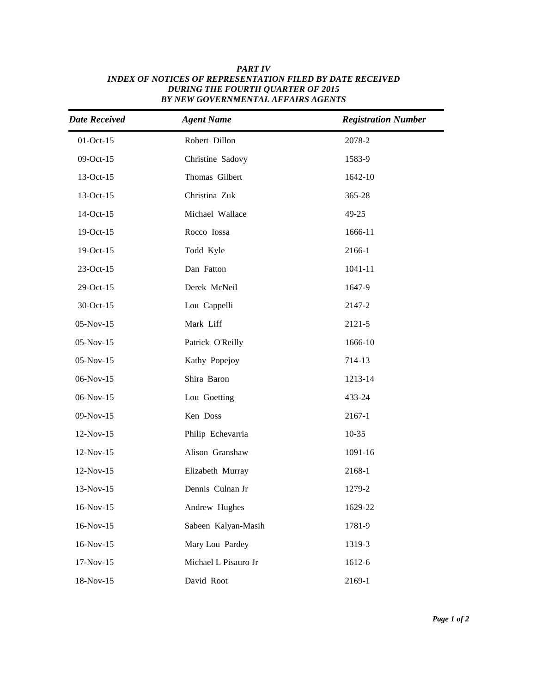| <b>Date Received</b> | <b>Agent Name</b>    | <b>Registration Number</b> |
|----------------------|----------------------|----------------------------|
| $01-Oct-15$          | Robert Dillon        | 2078-2                     |
| 09-Oct-15            | Christine Sadovy     | 1583-9                     |
| 13-Oct-15            | Thomas Gilbert       | 1642-10                    |
| 13-Oct-15            | Christina Zuk        | 365-28                     |
| 14-Oct-15            | Michael Wallace      | 49-25                      |
| 19-Oct-15            | Rocco Iossa          | 1666-11                    |
| 19-Oct-15            | Todd Kyle            | 2166-1                     |
| 23-Oct-15            | Dan Fatton           | 1041-11                    |
| 29-Oct-15            | Derek McNeil         | 1647-9                     |
| 30-Oct-15            | Lou Cappelli         | 2147-2                     |
| $05-Nov-15$          | Mark Liff            | 2121-5                     |
| $05-Nov-15$          | Patrick O'Reilly     | 1666-10                    |
| $05-Nov-15$          | Kathy Popejoy        | 714-13                     |
| 06-Nov-15            | Shira Baron          | 1213-14                    |
| 06-Nov-15            | Lou Goetting         | 433-24                     |
| 09-Nov-15            | Ken Doss             | 2167-1                     |
| 12-Nov-15            | Philip Echevarria    | $10 - 35$                  |
| 12-Nov-15            | Alison Granshaw      | 1091-16                    |
| 12-Nov-15            | Elizabeth Murray     | 2168-1                     |
| 13-Nov-15            | Dennis Culnan Jr     | 1279-2                     |
| 16-Nov-15            | Andrew Hughes        | 1629-22                    |
| 16-Nov-15            | Sabeen Kalyan-Masih  | 1781-9                     |
| 16-Nov-15            | Mary Lou Pardey      | 1319-3                     |
| $17-Nov-15$          | Michael L Pisauro Jr | 1612-6                     |
| 18-Nov-15            | David Root           | 2169-1                     |

## *Active date Last Name Full Number Full Name INDEX OF NOTICES OF REPRESENTATION FILED BY DATE RECEIVED PART IV DURING THE FOURTH QUARTER OF 2015 BY NEW GOVERNMENTAL AFFAIRS AGENTS*